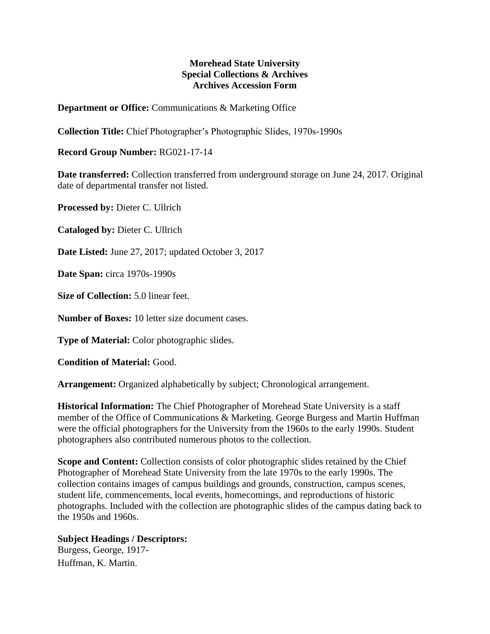## **Morehead State University Special Collections & Archives Archives Accession Form**

**Department or Office:** Communications & Marketing Office

**Collection Title:** Chief Photographer's Photographic Slides, 1970s-1990s

**Record Group Number:** RG021-17-14

**Date transferred:** Collection transferred from underground storage on June 24, 2017. Original date of departmental transfer not listed.

**Processed by:** Dieter C. Ullrich

**Cataloged by:** Dieter C. Ullrich

**Date Listed:** June 27, 2017; updated October 3, 2017

**Date Span:** circa 1970s-1990s

**Size of Collection:** 5.0 linear feet.

**Number of Boxes:** 10 letter size document cases.

**Type of Material:** Color photographic slides.

**Condition of Material:** Good.

**Arrangement:** Organized alphabetically by subject; Chronological arrangement.

**Historical Information:** The Chief Photographer of Morehead State University is a staff member of the Office of Communications & Marketing. George Burgess and Martin Huffman were the official photographers for the University from the 1960s to the early 1990s. Student photographers also contributed numerous photos to the collection.

**Scope and Content:** Collection consists of color photographic slides retained by the Chief Photographer of Morehead State University from the late 1970s to the early 1990s. The collection contains images of campus buildings and grounds, construction, campus scenes, student life, commencements, local events, homecomings, and reproductions of historic photographs. Included with the collection are photographic slides of the campus dating back to the 1950s and 1960s.

## **Subject Headings / Descriptors:**

Burgess, George, 1917- Huffman, K. Martin.